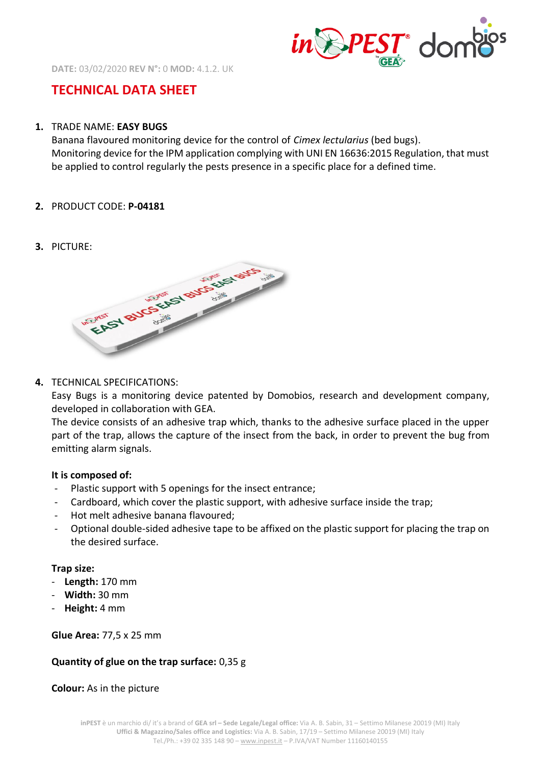

**DATE:** 03/02/2020 **REV N°:** 0 **MOD:** 4.1.2. UK

# **TECHNICAL DATA SHEET**

#### **1.** TRADE NAME: **EASY BUGS**

Banana flavoured monitoring device for the control of *Cimex lectularius* (bed bugs). Monitoring device for the IPM application complying with UNI EN 16636:2015 Regulation, that must be applied to control regularly the pests presence in a specific place for a defined time.

- **2.** PRODUCT CODE: **P-04181**
- **3.** PICTURE:



### **4.** TECHNICAL SPECIFICATIONS:

Easy Bugs is a monitoring device patented by Domobios, research and development company, developed in collaboration with GEA.

The device consists of an adhesive trap which, thanks to the adhesive surface placed in the upper part of the trap, allows the capture of the insect from the back, in order to prevent the bug from emitting alarm signals.

#### **It is composed of:**

- Plastic support with 5 openings for the insect entrance;
- Cardboard, which cover the plastic support, with adhesive surface inside the trap;
- Hot melt adhesive banana flavoured;
- Optional double-sided adhesive tape to be affixed on the plastic support for placing the trap on the desired surface.

### **Trap size:**

- **Length:** 170 mm
- **Width:** 30 mm
- **Height:** 4 mm

**Glue Area:** 77,5 x 25 mm

### **Quantity of glue on the trap surface:** 0,35 g

**Colour:** As in the picture